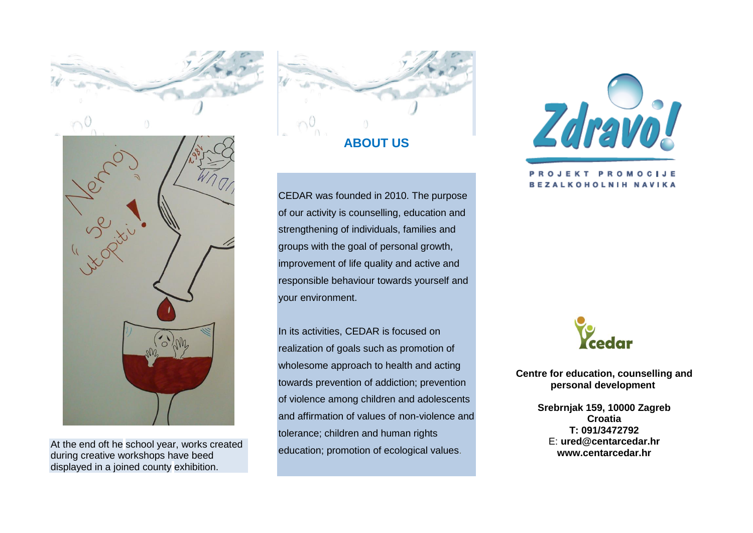

At the end oft he school year, works created during creative workshops have beed displayed in a joined county exhibition.



CEDAR was founded in 2010. The purpose of our activity is counselling, education and strengthening of individuals, families and groups with the goal of personal growth, improvement of life quality and active and responsible behaviour towards yourself and your environment.

In its activities, CEDAR is focused on realization of goals such as promotion of wholesome approach to health and acting towards prevention of addiction; prevention of violence among children and adolescents and affirmation of values of non-violence and tolerance; children and human rights education; promotion of ecological values.



## **OJEKT PROMOCIJE BEZALKOHOLNIH NAVIKA**



**Centre for education, counselling and personal development**

> **Srebrnjak 159, 10000 Zagreb Croatia T: 091/3472792** E: **[ured@centarcedar.hr](mailto:ured@centarcedar.hr) www.centarcedar.hr**